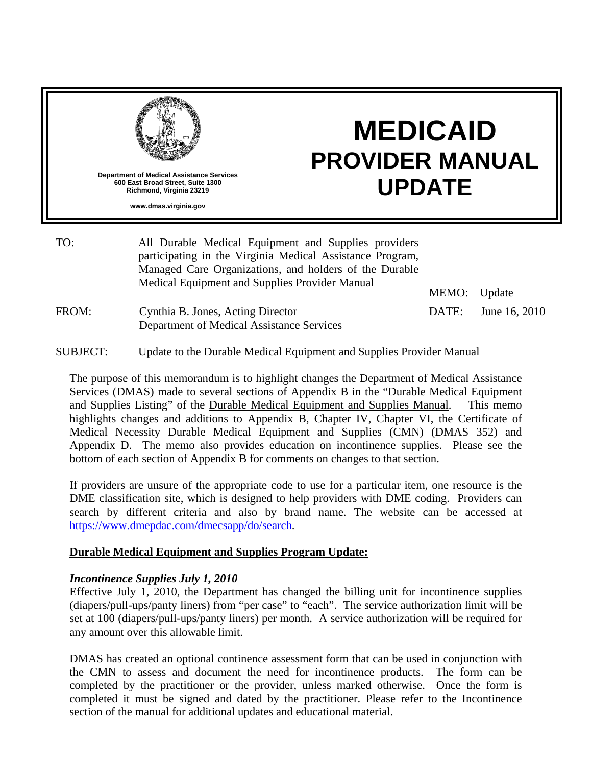

TO: All Durable Medical Equipment and Supplies providers participating in the Virginia Medical Assistance Program, Managed Care Organizations, and holders of the Durable Medical Equipment and Supplies Provider Manual MEMO: Update

DATE: June 16, 2010

FROM: Cynthia B. Jones, Acting Director Department of Medical Assistance Services

SUBJECT: Update to the Durable Medical Equipment and Supplies Provider Manual

The purpose of this memorandum is to highlight changes the Department of Medical Assistance Services (DMAS) made to several sections of Appendix B in the "Durable Medical Equipment and Supplies Listing" of the Durable Medical Equipment and Supplies Manual. This memo highlights changes and additions to Appendix B, Chapter IV, Chapter VI, the Certificate of Medical Necessity Durable Medical Equipment and Supplies (CMN) (DMAS 352) and Appendix D. The memo also provides education on incontinence supplies. Please see the bottom of each section of Appendix B for comments on changes to that section.

If providers are unsure of the appropriate code to use for a particular item, one resource is the DME classification site, which is designed to help providers with DME coding. Providers can search by different criteria and also by brand name. The website can be accessed at [https://www.dmepdac.com/dmecsapp/do/search.](https://www.dmepdac.com/dmecsapp/do/search)

#### **Durable Medical Equipment and Supplies Program Update:**

#### *Incontinence Supplies July 1, 2010*

Effective July 1, 2010, the Department has changed the billing unit for incontinence supplies (diapers/pull-ups/panty liners) from "per case" to "each". The service authorization limit will be set at 100 (diapers/pull-ups/panty liners) per month. A service authorization will be required for any amount over this allowable limit.

DMAS has created an optional continence assessment form that can be used in conjunction with the CMN to assess and document the need for incontinence products. The form can be completed by the practitioner or the provider, unless marked otherwise. Once the form is completed it must be signed and dated by the practitioner. Please refer to the Incontinence section of the manual for additional updates and educational material.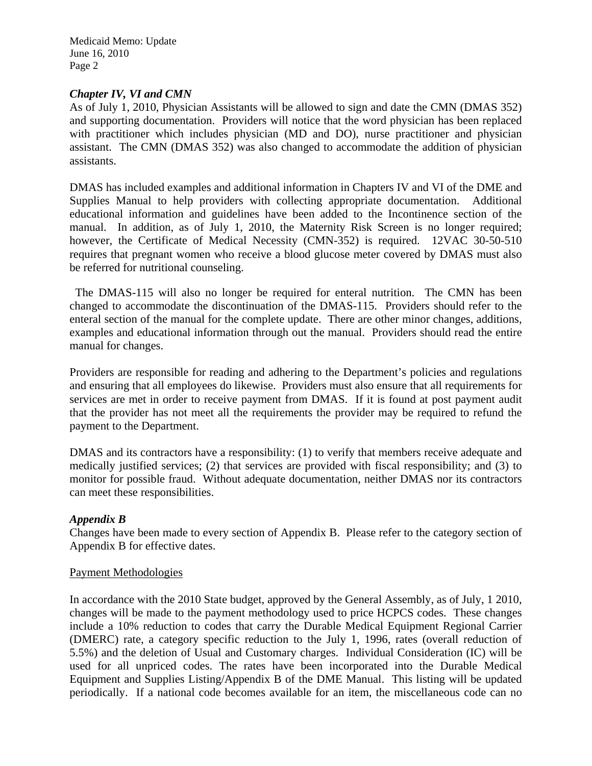#### *Chapter IV, VI and CMN*

As of July 1, 2010, Physician Assistants will be allowed to sign and date the CMN (DMAS 352) and supporting documentation. Providers will notice that the word physician has been replaced with practitioner which includes physician (MD and DO), nurse practitioner and physician assistant. The CMN (DMAS 352) was also changed to accommodate the addition of physician assistants.

DMAS has included examples and additional information in Chapters IV and VI of the DME and Supplies Manual to help providers with collecting appropriate documentation. Additional educational information and guidelines have been added to the Incontinence section of the manual. In addition, as of July 1, 2010, the Maternity Risk Screen is no longer required; however, the Certificate of Medical Necessity (CMN-352) is required. 12VAC 30-50-510 requires that pregnant women who receive a blood glucose meter covered by DMAS must also be referred for nutritional counseling.

 The DMAS-115 will also no longer be required for enteral nutrition. The CMN has been changed to accommodate the discontinuation of the DMAS-115. Providers should refer to the enteral section of the manual for the complete update. There are other minor changes, additions, examples and educational information through out the manual. Providers should read the entire manual for changes.

Providers are responsible for reading and adhering to the Department's policies and regulations and ensuring that all employees do likewise. Providers must also ensure that all requirements for services are met in order to receive payment from DMAS. If it is found at post payment audit that the provider has not meet all the requirements the provider may be required to refund the payment to the Department.

DMAS and its contractors have a responsibility: (1) to verify that members receive adequate and medically justified services; (2) that services are provided with fiscal responsibility; and (3) to monitor for possible fraud. Without adequate documentation, neither DMAS nor its contractors can meet these responsibilities.

#### *Appendix B*

Changes have been made to every section of Appendix B. Please refer to the category section of Appendix B for effective dates.

#### Payment Methodologies

In accordance with the 2010 State budget, approved by the General Assembly, as of July, 1 2010, changes will be made to the payment methodology used to price HCPCS codes. These changes include a 10% reduction to codes that carry the Durable Medical Equipment Regional Carrier (DMERC) rate, a category specific reduction to the July 1, 1996, rates (overall reduction of 5.5%) and the deletion of Usual and Customary charges. Individual Consideration (IC) will be used for all unpriced codes. The rates have been incorporated into the Durable Medical Equipment and Supplies Listing/Appendix B of the DME Manual. This listing will be updated periodically. If a national code becomes available for an item, the miscellaneous code can no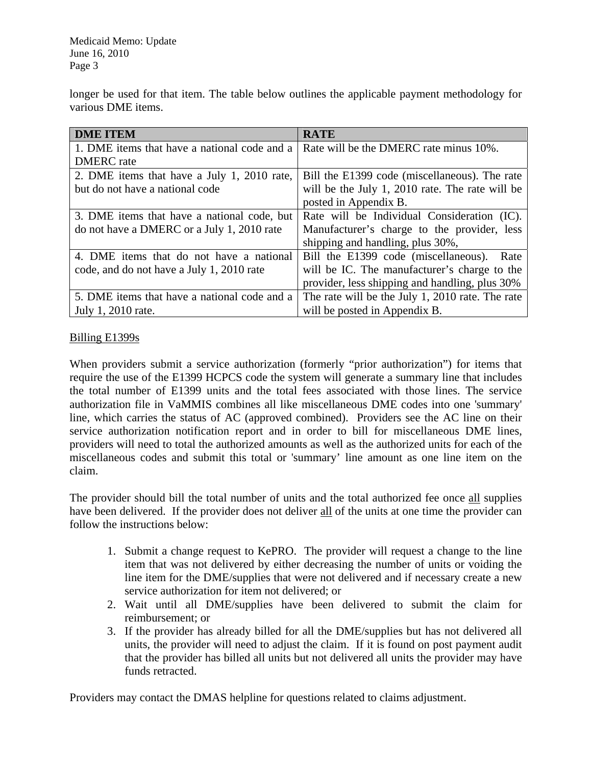longer be used for that item. The table below outlines the applicable payment methodology for various DME items.

| <b>DME ITEM</b>                              | <b>RATE</b>                                      |  |  |
|----------------------------------------------|--------------------------------------------------|--|--|
| 1. DME items that have a national code and a | Rate will be the DMERC rate minus 10%.           |  |  |
| <b>DMERC</b> rate                            |                                                  |  |  |
| 2. DME items that have a July 1, 2010 rate,  | Bill the E1399 code (miscellaneous). The rate    |  |  |
| but do not have a national code              | will be the July 1, 2010 rate. The rate will be  |  |  |
|                                              | posted in Appendix B.                            |  |  |
| 3. DME items that have a national code, but  | Rate will be Individual Consideration (IC).      |  |  |
| do not have a DMERC or a July 1, 2010 rate   | Manufacturer's charge to the provider, less      |  |  |
|                                              | shipping and handling, plus 30%,                 |  |  |
| 4. DME items that do not have a national     | Bill the E1399 code (miscellaneous).<br>Rate     |  |  |
| code, and do not have a July 1, 2010 rate    | will be IC. The manufacturer's charge to the     |  |  |
|                                              | provider, less shipping and handling, plus 30%   |  |  |
| 5. DME items that have a national code and a | The rate will be the July 1, 2010 rate. The rate |  |  |
| July 1, 2010 rate.                           | will be posted in Appendix B.                    |  |  |

## Billing E1399s

When providers submit a service authorization (formerly "prior authorization") for items that require the use of the E1399 HCPCS code the system will generate a summary line that includes the total number of E1399 units and the total fees associated with those lines. The service authorization file in VaMMIS combines all like miscellaneous DME codes into one 'summary' line, which carries the status of AC (approved combined). Providers see the AC line on their service authorization notification report and in order to bill for miscellaneous DME lines, providers will need to total the authorized amounts as well as the authorized units for each of the miscellaneous codes and submit this total or 'summary' line amount as one line item on the claim.

The provider should bill the total number of units and the total authorized fee once all supplies have been delivered. If the provider does not deliver all of the units at one time the provider can follow the instructions below:

- 1. Submit a change request to KePRO. The provider will request a change to the line item that was not delivered by either decreasing the number of units or voiding the line item for the DME/supplies that were not delivered and if necessary create a new service authorization for item not delivered; or
- 2. Wait until all DME/supplies have been delivered to submit the claim for reimbursement; or
- 3. If the provider has already billed for all the DME/supplies but has not delivered all units, the provider will need to adjust the claim. If it is found on post payment audit that the provider has billed all units but not delivered all units the provider may have funds retracted.

Providers may contact the DMAS helpline for questions related to claims adjustment.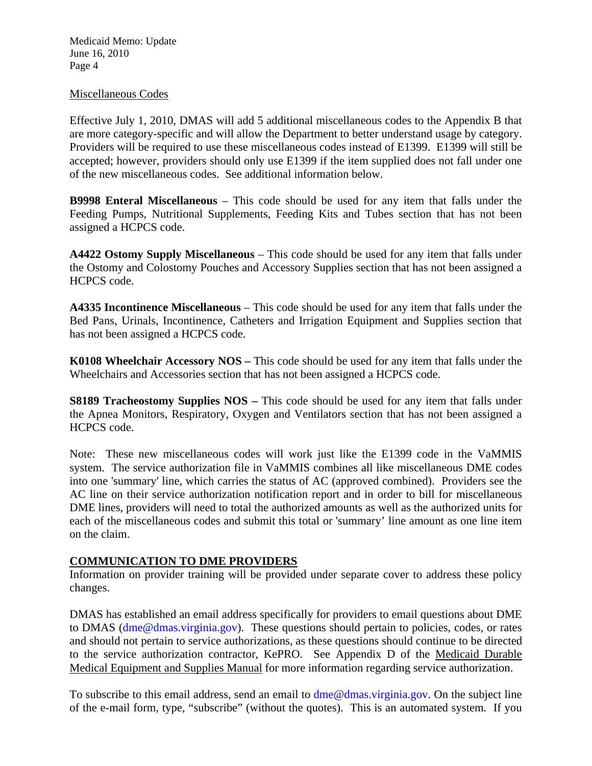#### Miscellaneous Codes

Effective July 1, 2010, DMAS will add 5 additional miscellaneous codes to the Appendix B that are more category-specific and will allow the Department to better understand usage by category. Providers will be required to use these miscellaneous codes instead of E1399. E1399 will still be accepted; however, providers should only use E1399 if the item supplied does not fall under one of the new miscellaneous codes. See additional information below.

**B9998 Enteral Miscellaneous** – This code should be used for any item that falls under the Feeding Pumps, Nutritional Supplements, Feeding Kits and Tubes section that has not been assigned a HCPCS code.

**A4422 Ostomy Supply Miscellaneous** – This code should be used for any item that falls under the Ostomy and Colostomy Pouches and Accessory Supplies section that has not been assigned a HCPCS code.

**A4335 Incontinence Miscellaneous** – This code should be used for any item that falls under the Bed Pans, Urinals, Incontinence, Catheters and Irrigation Equipment and Supplies section that has not been assigned a HCPCS code.

**K0108 Wheelchair Accessory NOS –** This code should be used for any item that falls under the Wheelchairs and Accessories section that has not been assigned a HCPCS code.

**S8189 Tracheostomy Supplies NOS – This code should be used for any item that falls under** the Apnea Monitors, Respiratory, Oxygen and Ventilators section that has not been assigned a HCPCS code.

Note: These new miscellaneous codes will work just like the E1399 code in the VaMMIS system. The service authorization file in VaMMIS combines all like miscellaneous DME codes into one 'summary' line, which carries the status of AC (approved combined). Providers see the AC line on their service authorization notification report and in order to bill for miscellaneous DME lines, providers will need to total the authorized amounts as well as the authorized units for each of the miscellaneous codes and submit this total or 'summary' line amount as one line item on the claim.

#### **COMMUNICATION TO DME PROVIDERS**

Information on provider training will be provided under separate cover to address these policy changes.

DMAS has established an email address specifically for providers to email questions about DME to DMAS (dme@dmas.virginia.gov). These questions should pertain to policies, codes, or rates and should not pertain to service authorizations, as these questions should continue to be directed to the service authorization contractor, KePRO. See Appendix D of the Medicaid Durable Medical Equipment and Supplies Manual for more information regarding service authorization.

To subscribe to this email address, send an email to dme@dmas.virginia.gov. On the subject line of the e-mail form, type, "subscribe" (without the quotes). This is an automated system. If you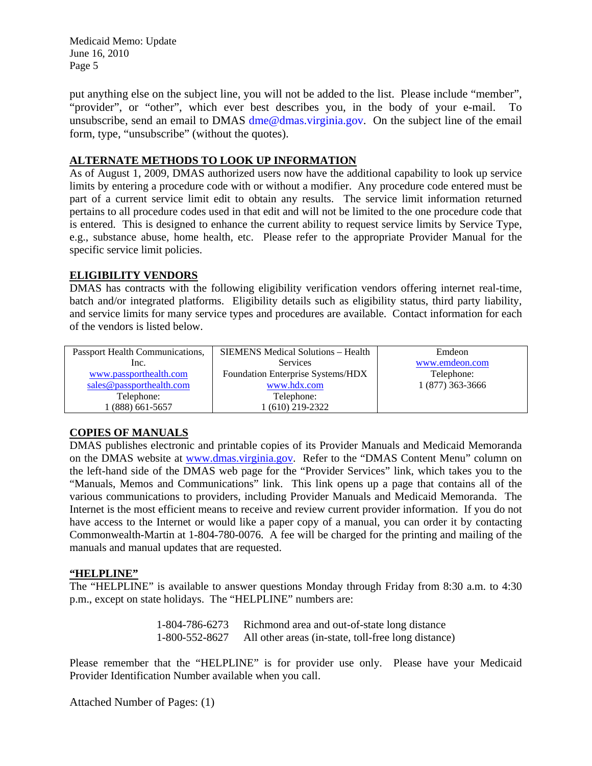put anything else on the subject line, you will not be added to the list. Please include "member", "provider", or "other", which ever best describes you, in the body of your e-mail. To unsubscribe, send an email to DMAS dme@dmas.virginia.gov. On the subject line of the email form, type, "unsubscribe" (without the quotes).

## **ALTERNATE METHODS TO LOOK UP INFORMATION**

As of August 1, 2009, DMAS authorized users now have the additional capability to look up service limits by entering a procedure code with or without a modifier. Any procedure code entered must be part of a current service limit edit to obtain any results. The service limit information returned pertains to all procedure codes used in that edit and will not be limited to the one procedure code that is entered. This is designed to enhance the current ability to request service limits by Service Type, e.g., substance abuse, home health, etc. Please refer to the appropriate Provider Manual for the specific service limit policies.

#### **ELIGIBILITY VENDORS**

DMAS has contracts with the following eligibility verification vendors offering internet real-time, batch and/or integrated platforms. Eligibility details such as eligibility status, third party liability, and service limits for many service types and procedures are available. Contact information for each of the vendors is listed below.

| Passport Health Communications, | <b>SIEMENS</b> Medical Solutions – Health | Emdeon           |
|---------------------------------|-------------------------------------------|------------------|
| Inc.                            | <b>Services</b>                           | www.emdeon.com   |
| www.passporthealth.com          | Foundation Enterprise Systems/HDX         | Telephone:       |
| sales@passporthealth.com        | www.hdx.com                               | 1 (877) 363-3666 |
| Telephone:                      | Telephone:                                |                  |
| $(888)$ 661-5657                | 1 (610) 219-2322                          |                  |

#### **COPIES OF MANUALS**

DMAS publishes electronic and printable copies of its Provider Manuals and Medicaid Memoranda on the DMAS website at [www.dmas.virginia.gov](http://www.dmas.virginia.gov/). Refer to the "DMAS Content Menu" column on the left-hand side of the DMAS web page for the "Provider Services" link, which takes you to the "Manuals, Memos and Communications" link. This link opens up a page that contains all of the various communications to providers, including Provider Manuals and Medicaid Memoranda. The Internet is the most efficient means to receive and review current provider information. If you do not have access to the Internet or would like a paper copy of a manual, you can order it by contacting Commonwealth-Martin at 1-804-780-0076. A fee will be charged for the printing and mailing of the manuals and manual updates that are requested.

#### **"HELPLINE"**

The "HELPLINE" is available to answer questions Monday through Friday from 8:30 a.m. to 4:30 p.m., except on state holidays. The "HELPLINE" numbers are:

> 1-804-786-6273 Richmond area and out-of-state long distance 1-800-552-8627 All other areas (in-state, toll-free long distance)

Please remember that the "HELPLINE" is for provider use only. Please have your Medicaid Provider Identification Number available when you call.

Attached Number of Pages: (1)